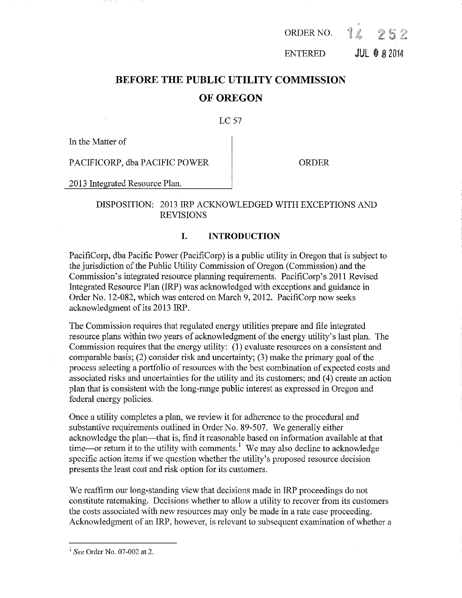$\frac{\partial}{\partial x^2}$ ORDER NO. タミラ

ENTERED JUL 0 8 2014

# **BEFORE THE PUBLIC UTILITY COMMISSION OF OREGON**

# LC 57

In the Matter of

PACIFICORP, dba PACIFIC POWER | ORDER

2013 Integrated Resource Plan.

# DISPOSITION: 2013 IRP ACKNOWLEDGED WITH EXCEPTIONS AND REVISIONS

# **I. INTRODUCTION**

PacifiCorp, dba Pacific Power (PacifiCorp) is a public utility in Oregon that is subject to the jurisdiction of the Public Utility Commission of Oregon (Commission) and the Commission's integrated resource planning requirements. PacifiCorp's 2011 Revised Integrated Resource Plan (IRP) was acknowledged with exceptions and guidance in Order No. 12-082, which was entered on March 9, 2012. PacifiCorp now seeks acknowledgment of its 2013 IRP.

The Commission requires that regulated energy utilities prepare and file integrated resource plans within two years of acknowledgment of the energy utility's last plan. The Commission requires that the energy utility: (1) evaluate resources on a consistent and comparable basis; (2) consider risk and uncertainty; (3) make the primary goal of the process selecting a portfolio of resources with the best combination of expected costs and associated risks and uncertainties for the utility and its customers; and (4) create an action plan that is consistent with the long-range public interest as expressed in Oregon and federal energy policies.

Once a utility completes a plan, we review it for adherence to the procedural and substantive requirements outlined in Order No. 89-507. We generally either acknowledge the plan~that is, find it reasonable based on information available at that time—or return it to the utility with comments.<sup>1</sup> We may also decline to acknowledge specific action items if we question whether the utility's proposed resource decision presents the least cost and risk option for its customers.

We reaffirm our long-standing view that decisions made in IRP proceedings do not constitute ratemaking. Decisions whether to allow a utility to recover from its customers the costs associated with new resources may only be made in a rate case proceeding. Acknowledgment of an IRP, however, is relevant to subsequent examination of whether a

<sup>1</sup>*See* Order No. 07-002 at 2.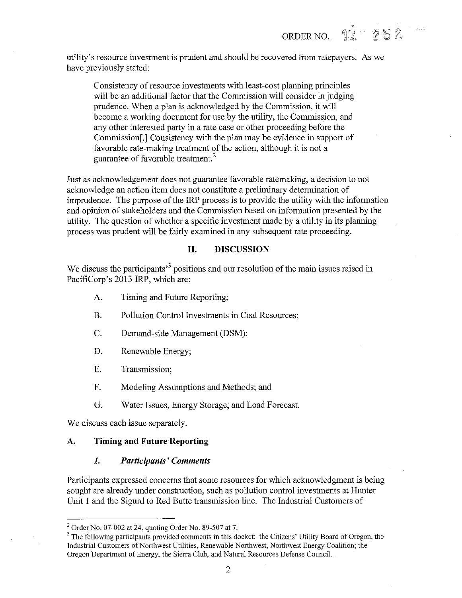utility's resource investment is prudent and should be recovered from ratepayers. As we have previously stated:

ORDER NO. 14 252

Consistency of resource investments with least-cost planning principles will be an additional factor that the Commission will consider in judging prudence. When a plan is acknowledged by the Commission, it will become a working document for use by the utility, the Commission, and any other interested party in a rate case or other proceeding before the Commission[.] Consistency with the plan may be evidence in support of favorable rate-making treatment of the action, although it is not a guarantee of favorable treatment. 2

Just as acknowledgement does not guarantee favorable ratemaking, a decision to not acknowledge an action item does not constitute a preliminary determination of imprudence. The purpose of the IRP process is to provide the utility with the information and opinion of stakeholders and the Commission based on information presented by the utility. The question of whether a specific investment made by a utility in its planning process was prudent will be fairly examined in any subsequent rate proceeding.

# **II. DISCUSSION**

We discuss the participants<sup>3</sup> positions and our resolution of the main issues raised in PacifiCorp's 2013 IRP, which are:

- A. Timing and Future Reporting;
- B. Pollution Control Investments in Coal Resources;
- C. Demand-side Management (DSM);
- D. Renewable Energy;
- E. Transmission;
- F. Modeling Assumptions and Methods; and
- G. Water Issues, Energy Storage, and Load Forecast.

We discuss each issue separately.

### **A. Timing and Future Reporting**

#### *1. Participants' Comments*

Participants expressed concerns that some resources for which acknowledgment is being sought are already under construction, such as pollution control investments at Hunter Unit 1 and the Sigurd to Red Butte transmission line. The Industrial Customers of

<sup>&</sup>lt;sup>2</sup> Order No. 07-002 at 24, quoting Order No. 89-507 at 7.<br><sup>3</sup> The following participants provided comments in this docket: the Citizens' Utility Board of Oregon, the Industrial Customers of Northwest Utilities, Renewable Northwest, Northwest Energy Coalition; the Oregon Department of Energy, the Sierra Club, and Natural Resources Defense Council.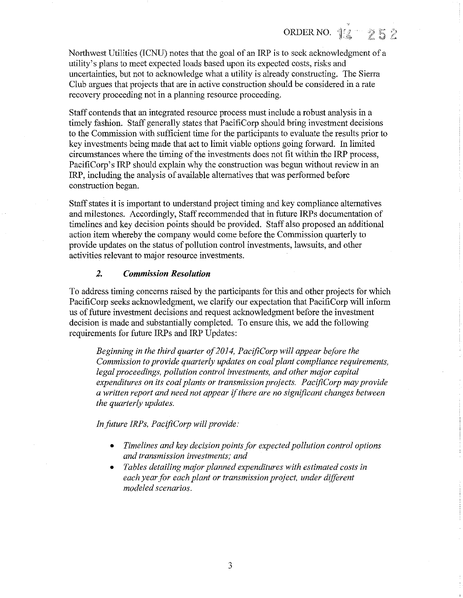Northwest Utilities (ICNU) notes that the goal of an IRP is to seek acknowledgment of a utility's plans to meet expected loads based upon its expected costs, risks and uncertainties, but not to acknowledge what a utility is already constructing. The Sierra Club argues that projects that are in active construction should be considered in a rate recovery proceeding not in a planning resource proceeding.

Staff contends that an integrated resource process must include a robust analysis in a timely fashion. Staff generally states that PacifiCorp should bring investment decisions to the Commission with sufficient time for the participants to evaluate the results prior to key investments being made that act to limit viable options going forward. In limited circumstances where the timing of the investments does not fit within the IRP process, PacifiCorp's IRP should explain why the construction was begun without review in an IRP, including the analysis of available alternatives that was performed before construction began.

Staff states it is important to understand project timing and key compliance alternatives and milestones. Accordingly, Staff recommended that in future IRPs documentation of timelines and key decision points should be provided. Staff also proposed an additional action item whereby the company would come before the Commission quarterly to provide updates on the status of pollution control investments, lawsuits, and other activities relevant to major resource investments.

### *2. Commission Resolution*

To address timing concerns raised by the participants for this and other projects for which PacifiCorp seeks acknowledgment, we clarify our expectation that PacifiCorp will inform us of future investment decisions and request acknowledgment before the investment decision is made and substantially completed. To ensure this, we add the following requirements for future IRPs and IRP Updates:

*Beginning in the third quarter of 2014, PacifiCorp will appear before the Commission to provide quarterly updates on coal plant compliance requirements, legal proceedings, pollution control investments, and other major capital expenditures on its coal plants or transmission projects. PacifiCorp may provide a written report and need not appear* if *there are no significant changes between the quarterly updates.* 

*In future JRPs, PacifiCorp will provide:* 

- *Timelines and key decision points for expected pollution control options and transmission investments; and*
- *Tables detailing major planned expenditures with estimated costs in each year for each plant or transmission project, under different modeled scenarios.*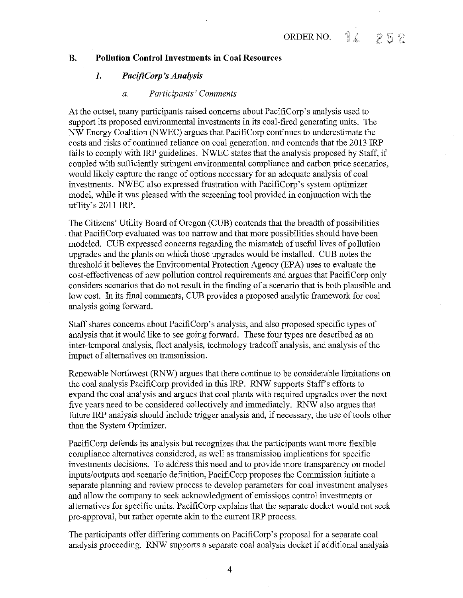#### **B. Pollution Control Investments in Coal Resources**

# **1.** *PacifiCorp 's Analysis*

#### *a. Participants' Comments*

At the outset, many participants raised concerns about PacifiCorp's analysis used to support its proposed environmental investments in its coal-fired generating units. The NW Energy Coalition (NWEC) argues that PacifiCorp continues to underestimate the costs and risks of continued reliance on coal generation, and contends that the 2013 lRP fails to comply with IRP guidelines. NWEC states that the analysis proposed by Staff, if coupled with sufficiently stringent environmental compliance and carbon price scenarios, would likely capture the range of options necessary for an adequate analysis of coal investments. NWEC also expressed frustration with PacifiCorp's system optimizer model, while it was pleased with the screening tool provided in conjunction with the utility's 2011 IRP.

The Citizens' Utility Board of Oregon (CUB) contends that the breadth of possibilities that PacifiCorp evaluated was too narrow and that more possibilities should have been modeled. CUB expressed concerns regarding the mismatch of useful lives of pollution upgrades and the plants on which those upgrades would be installed. CUB notes the threshold it believes the Environmental Protection Agency (EPA) uses to evaluate the cost-effectiveness of new pollution control requirements and argues that PacifiCorp only considers scenarios that do not result in the finding of a scenario that is both plausible and low cost. In its final comments, CUB provides a proposed analytic framework for coal analysis going forward.

Staff shares concerns about PacifiCorp's analysis, and also proposed specific types of analysis that it would like to see going forward. These four types are described as an inter-temporal analysis, fleet analysis, technology tradeoff analysis, and analysis of the impact of alternatives on transmission.

Renewable Northwest (RNW) argues that there continue to be considerable limitations on the coal analysis PacifiCorp provided in this IRP. RNW supports Staff's efforts to expand the coal analysis and argues that coal plants with required upgrades over the next five years need to be considered collectively and immediately. RNW also argues that future IRP analysis should include trigger analysis and, if necessary, the use of tools other than the System Optimizer.

PacifiCorp defends its analysis but recognizes that the participants want more flexible compliance alternatives considered, as well as transmission implications for specific investments decisions. To address this need and to provide more transparency on model inputs/outputs and scenario definition, PacifiCorp proposes the Commission initiate a separate planning and review process to develop parameters for coal investment analyses and allow the company to seek acknowledgment of emissions control investments or alternatives for specific units. PacifiCorp explains that the separate docket would not seek pre-approval, but rather operate akin to the current lRP process.

The participants offer differing comments on PacifiCorp's proposal for a separate coal analysis proceeding. RNW supports a separate coal analysis docket if additional analysis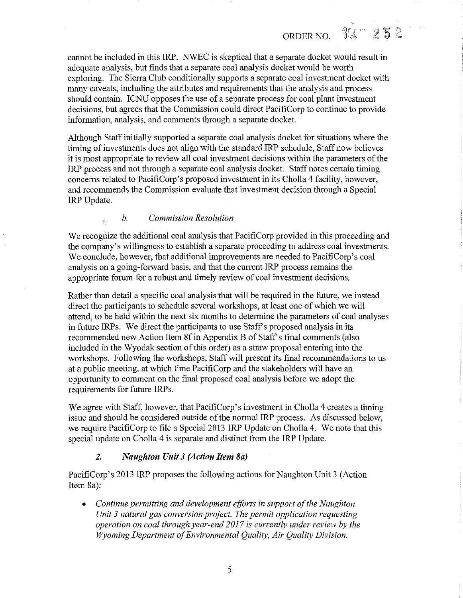cannot be included in this IRP. NWEC is skeptical that a separate docket would result in adequate analysis, but finds that a separate coal analysis docket would be worth exploring. The Sierra Club conditionally supports a separate coal investment docket with many caveats, including the attributes and requirements that the analysis and process should contain. ICNU opposes the use of a separate process for coal plant investment decisions, but agrees that the Commission could direct PacifiCorp to continue to provide information, analysis, and comments through a separate docket.

ORDER NO.

12 252

Although Staff initially supported a separate coal analysis docket for situations where the timing of investments does not align with the standard IRP schedule, Staff now believes it is most appropriate to review all coal investment decisions within the parameters of the IRP process and not through a separate coal analysis docket. Staff notes certain timing concerns related to PacifiCorp's proposed investment in its Cholla 4 facility, however, and recommends the Commission evaluate that investment decision through a Special IRP Update.

# *b. Commission Resolution*

We recognize the additional coal analysis that PacifiCorp provided in this proceeding and the company's willingness to establish a separate proceeding to address coal investments. We conclude, however, that additional improvements are needed to PacifiCorp's coal analysis on a going-forward basis, and that the current IRP process remains the appropriate forum for a robust and timely review of coal investment decisions.

Rather than detail a specific coal analysis that will be required in the future, we instead direct the participants to schedule several workshops, at least one of which we will attend, to be held within the next six months to determine the parameters of coal analyses in future IRPs. We direct the participants to use Staff's proposed analysis in its recommended new Action Item 8f in Appendix B of Staff's final comments (also included in the Wyodak section of this order) as a straw proposal entering into the workshops. Following the workshops, Staff will present its final recommendations to us at a public meeting, at which time PacifiCorp and the stakeholders will have an opportunity to comment on the final proposed coal analysis before we adopt the requirements for future IRPs.

We agree with Staff, however, that PacifiCorp's investment in Cholla 4 creates a timing issue and should be considered outside of the normal IRP process. As discussed below, we require PacifiCorp to file a Special 2013 IRP Update on Cholla 4. We note that this special update on Cholla 4 is separate and distinct from the IRP Update.

# *2. Naughton Unit 3 (Action Item Sa)*

PacifiCorp's 2013 IRP proposes the following actions for Naughton Unit 3 (Action Item 8a):

• *Continue permitting and development efforts in support of the Naughton Unit 3 natural gas conversion project. The permit application requesting operation on coal through year-end 2017 is currently under review by the Wyoming Department of Environmental Quality, Air Quality Division.*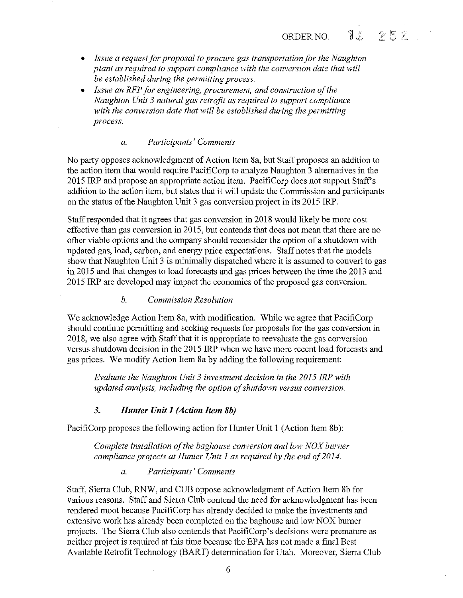14 ORDER NO.

 $252$ 

- *Issue a request for proposal to procure gas transportation for the Naughton plant as required to support compliance with the conversion date that will be established during the permitting process.*
- *Issue an RFP for engineering, procurement, and construction of the Naughton Unit 3 natural gas retrofit as required to support compliance with the conversion date that will be established during the permitting process.*

# *a. Participants' Comments*

No party opposes acknowledgment of Action Item Sa, but Staff proposes an addition to the action item that would require PacifiCorp to analyze Naughton 3 alternatives in the 2015 IRP and propose an appropriate action item. PacifiCorp does not support Staff's addition to the action item, but states that it will update the Commission and participants on the status of the Naughton Unit 3 gas conversion project in its 2015 IRP.

Staffresponded that it agrees that gas conversion in 201S would likely be more cost effective than gas conversion in 2015, but contends that does not mean that there are no other viable options and the company should reconsider the option of a shutdown with updated gas, load, carbon, and energy price expectations. Staff notes that the models show that Naughton Unit 3 is minimally dispatched where it is assumed to convert to gas in 2015 and that changes to load forecasts and gas prices between the time the 2013 and 2015 IRP are developed may impact the economics of the proposed gas conversion.

# *b. Commission Resolution*

We acknowledge Action Item Sa, with modification. While we agree that PacifiCorp should continue permitting and seeking requests for proposals for the gas conversion in 2018, we also agree with Staff that it is appropriate to reevaluate the gas conversion versus shutdown decision in the 2015 IRP when we have more recent load forecasts and gas prices. We modify Action Item Sa by adding the following requirement:

*Evaluate the Naughton Unit 3 investment decision in the 2015 !RP with updated analysis, including the option of shutdown versus conversion.* 

# *3. Hunter Unit 1 (Action Item 8b)*

PacifiCorp proposes the following action for Hunter Unit I (Action Item Sb):

*Complete installation of the baghouse conversion and low NOX burner compliance projects at Hunter Unit 1 as required by the end of 2014.* 

*a. Participants' Comments* 

Staff, Sierra Club, RNW, and CUB oppose acknowledgment of Action Item Sb for various reasons. Staff and Sierra Club contend the need for acknowledgment has been rendered moot because PacifiCorp has already decided to make the investments and extensive work has already been completed on the baghouse and low NOX burner projects. The Sierra Club also contends that PacifiCorp's decisions were premature as neither project is required at this time because the EPA has not made a final Best Available Retrofit Technology (BART) determination for Utah. Moreover, Sierra Club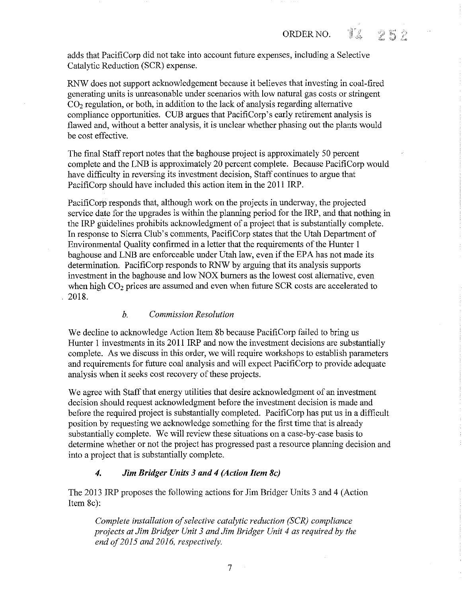$252$ 

adds that PacifiCorp did not take into account future expenses, including a Selective Catalytic Reduction (SCR) expense.

RNW does not support acknowledgement because it believes that investing in coal-fired generating units is unreasonable under scenarios with low natural gas costs or stringent  $CO<sub>2</sub>$  regulation, or both, in addition to the lack of analysis regarding alternative compliance opportunities. CUB argues that PacifiCorp's early retirement analysis is flawed and, without a better analysis, it is unclear whether phasing out the plants would be cost effective.

The final Staff report notes that the baghouse project is approximately 50 percent complete and the LNB is approximately 20 percent complete. Because PacifiCorp would have difficulty in reversing its investment decision, Staff continues to argue that PacifiCorp should have included this action item in the 2011 IRP.

PacifiCorp responds that, although work on the projects in underway, the projected service date for the upgrades is within the planning period for the IRP, and that nothing in the IRP gliidelines prohibits acknowledgment of a project that is substantially complete. In response to Sierra Club's comments, PacifiCorp states that the Utah Department of Environmental Quality confirmed in a letter that the requirements of the Hunter **1**  baghouse and LNB are enforceable under Utah law, even if the EPA has not made its determination. PacifiCorp responds to RNW by arguing that its analysis supports investment in the baghouse and low NOX burners as the lowest cost alternative, even when high  $CO<sub>2</sub>$  prices are assumed and even when future SCR costs are accelerated to 201S.

# *b. Commission Resolution*

We decline to acknowledge Action Item 8b because PacifiCorp failed to bring us Hunter 1 investments in its 2011 IRP and now the investment decisions are substantially complete. As we discuss in this order, we will require workshops to establish parameters and requirements for future coal analysis and will expect PacifiCorp to provide adequate analysis when it seeks cost recovery of these projects.

We agree with Staff that energy utilities that desire acknowledgment of an investment decision should request acknowledgment before the investment decision is made and before the required project is substantially completed. PacifiCorp has put us in a difficult position by requesting we acknowledge something for the first time that is already substantially complete. We will review these situations on a case-by-case basis to determine whether or not the project has progressed past a resource planning decision and into a project that is substantially complete.

# *4. Jim Bridger Units 3 and 4 (Action Item Sc)*

The 2013 IRP proposes the following actions for Jim Bridger Units 3 and 4 (Action Item Sc):

*Complete installation of selective catalytic reduction (SCR) compliance projects at Jim Bridger Unit 3 and Jim Bridger Unit 4 as required by the*  end of 2015 and 2016, respectively.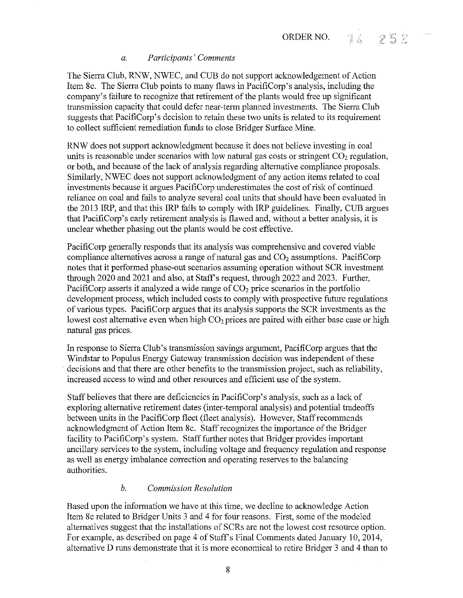# *a. Participants' Comments*

The Sierra Club, RNW, NWEC, and CUB do not support acknowledgement of Action Item Sc. The Sierra Club points to many flaws in PacifiCorp's analysis, including the company's failure to recognize that retirement of the plants would free up significant transmission capacity that could defer near-term planned investments. The Sierra Club suggests that PacifiCorp's decision to retain these two units is related to its requirement to collect sufficient remediation funds to close Bridger Surface Mine.

RNW does not support acknowledgment because it does not believe investing in coal units is reasonable under scenarios with low natural gas costs or stringent  $CO<sub>2</sub>$  regulation, or both, and because of the lack of analysis regarding alternative compliance proposals. Similarly, NWEC does not support acknowledgment of any action items related to coal investments because it argues PacifiCorp underestimates the cost of risk of continued reliance on coal and fails to analyze several coal units that should have been evaluated in the 2013 IRP, and that this IRP fails to comply with IRP guidelines. Finally, CUB argues that PacifiCorp's early retirement analysis is flawed and, without a better analysis, it is unclear whether phasing out the plants would be cost effective.

PacifiCorp generally responds that its analysis was comprehensive and covered viable compliance alternatives across a range of natural gas and  $CO<sub>2</sub>$  assumptions. PacifiCorp notes that it performed phase-out scenarios assuming operation without SCR investment through 2020 and 2021 and also, at Staff's request, through 2022 and 2023. Further, PacifiCorp asserts it analyzed a wide range of  $CO<sub>2</sub>$  price scenarios in the portfolio development process, which included costs to comply with prospective future regulations of various types. PacifiCorp argues that its analysis supports the SCR investments as the lowest cost alternative even when high  $CO<sub>2</sub>$  prices are paired with either base case or high natural gas prices.

In response to Sierra Club's transmission savings argument, PacifiCorp argues that the Windstar to Populus Energy Gateway transmission decision was independent of these decisions and that there are other benefits to the transmission project, such as reliability, increased access to wind and other resources and efficient use of the system.

Staff believes that there are deficiencies in PacifiCorp's analysis, such as a lack of exploring alternative retirement dates (inter-temporal analysis) and potential tradeoffs between units in the PacifiCorp fleet (fleet analysis). However, Staff recommends acknowledgment of Action Item Sc. Staff recognizes the importance of the Bridger facility to PacifiCorp's system. Staff further notes that Bridger provides important ancillary services to the system, including voltage and frequency regulation and response as well as energy imbalance correction and operating reserves to the balancing authorities.

# *b. Commission Resolution*

Based upon the information we have at this time, we decline to acknowledge Action Item 8c related to Bridger Units 3 and 4 for four reasons. First, some of the modeled alternatives suggest that the installations of SCRs are not the lowest cost resource option. For example, as described on page 4 of Staff's Final Comments dated January 10, 2014, alternative D runs demonstrate that it is more economical to retire Bridger 3 and 4 than to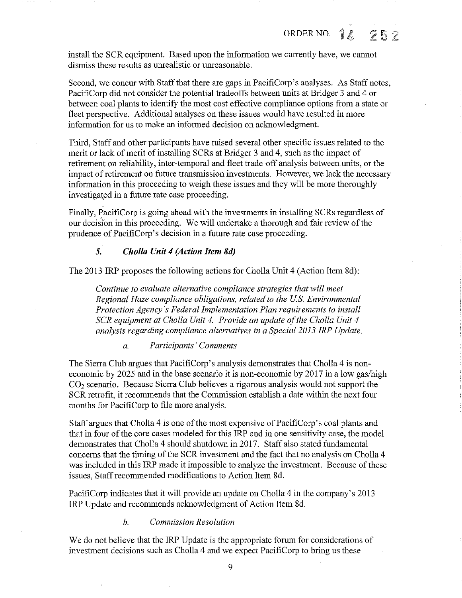install the SCR equipment. Based upon the information we currently have, we cannot dismiss these results as unrealistic or unreasonable.

Second, we concur with Staff that there are gaps in PacifiCorp's analyses. As Staff notes, PacifiCorp did not consider the potential tradeoffs between units at Bridger 3 and 4 or between coal plants to identify the most cost effective compliance options from a state or fleet perspective. Additional analyses on these issues would have resulted in more information for us to make an informed decision on acknowledgment.

Third, Staff and other participants have raised several other specific issues related to the merit or lack of merit of installing SCRs at Bridger 3 and 4, such as the impact of retirement on reliability, inter-temporal and fleet trade-off analysis between units, or the impact of retirement on future transmission investments. However, we lack the necessary information in this proceeding to weigh these issues and they will be more thoroughly investigated in a future rate case proceeding.

Finally, PacifiCorp is going ahead with the investments in installing SCRs regardless of our decision in this proceeding. We will undertake a thorough and fair review of the prudence of PacifiCorp's decision in a future rate case proceeding.

### **5.** *Cholla Unit 4 (Action Item Sd)*

The 2013 IRP proposes the following actions for Cholla Unit 4 (Action Item 8d):

*Continue to evaluate alternative compliance strategies that will meet Regional Haze compliance obligations, related to the U.S. Environmental Protection Agency's Federal Implementation Plan requirements to install SCR equipment at Chol/a Unit 4. Provide an update of the Chol/a Unit 4 analysis regarding compliance alternatives in a Special 2013 IRP Update.* 

*a. Participants' Comments* 

The Sierra Club argues that PacifiCorp's analysis demonstrates that Cholla 4 is noneconomic by 2025 and in the base scenario it is non-economic by 2017 in a low gas/high  $CO<sub>2</sub>$  scenario. Because Sierra Club believes a rigorous analysis would not support the SCR retrofit, it recommends that the Commission establish a date within the next four months for PacifiCorp to file more analysis.

Staff argues that Cholla 4 is one of the most expensive of PacifiCorp's coal plants and that in four of the core cases modeled for this IRP and in one sensitivity case, the model demonstrates that Cholla 4 should shutdown in 2017. Staff also stated fundamental concerns that the timing of the SCR investment and the fact that no analysis on Cholla 4 was included in this IRP made it impossible to analyze the investment. Because of these issues, Staff recommended modifications to Action Item 8d.

PacifiCorp indicates that it will provide an update on Cholla 4 in the company's 2013 IRP Update and recommends acknowledgment of Action Item 8d.

#### *b. Commission Resolution*

We do not believe that the IRP Update is the appropriate forum for considerations of investment decisions such as Cholla 4 and we expect PacifiCorp to bring us these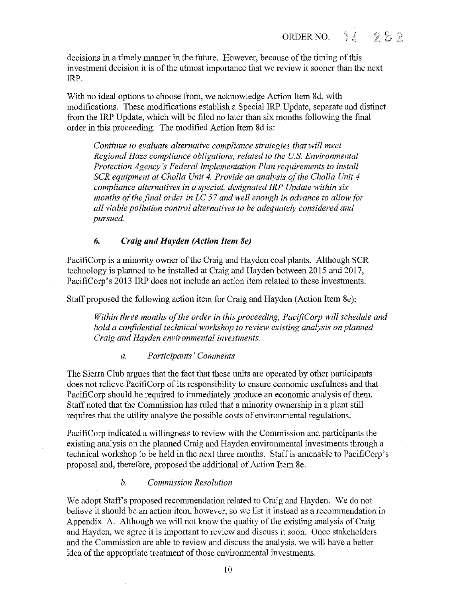decisions in a timely manner in the future. However, because of the timing of this investment decision it is of the utmost importance that we review it sooner than the next IRP.

With no ideal options to choose from, we acknowledge Action Item 8d, with modifications. These modifications establish a Special IRP Update, separate and distinct from the IRP Update, which will be filed no later than six months following the final order in this proceeding. The modified Action Item 8d is:

*Continue to evaluate alternative compliance strategies that will meet Regional Haze compliance obligations, related to the US. Environmental Protection Agency's Federal Implementation Plan requirements to install SCR equipment at Challa Unit 4. Provide an analysis of the Challa Unit 4 compliance alternatives in a special, designated IRP Update within six months of the final order in LC 57 and well enough in advance to allow for all viable pollution control alternatives to be adequately considered and pursued.* 

# *6. Craig and Hayden (Action Item Se)*

PacifiCorp is a minority owner of the Craig and Hayden coal plants. Although SCR technology is planned to be installed at Craig and Hayden between 2015 and 2017, PacifiCorp's 2013 IRP does not include an action item related to these investments.

Staff proposed the following action item for Craig and Hayden (Action Item 8e):

*Within three months of the order in this proceeding, PacifiCorp will schedule and hold a confidential technical workshop to review existing analysis on planned Craig and Hayden environmental investments.* 

#### *a. Participants' Comments*

The Sierra Club argues that the fact that these units are operated by other participants does not relieve PacifiCorp of its responsibility to ensure economic usefulness and that PacifiCorp should be required to immediately produce an economic analysis of them. Staff noted that the Commission has ruled that a minority ownership in a plant still requires that the utility analyze the possible costs of environmental regulations.

PacifiCorp indicated a willingness to review with the Commission and participants the existing analysis on the planned Craig and Hayden environmental investments through a technical workshop to be held in the next three months. Staffis amenable to PacifiCorp's proposal and, therefore, proposed the additional of Action Item 8e.

# *b. Commission Resolution*

We adopt Staff's proposed recommendation related to Craig and Hayden. We do not believe it should be an action item, however, so we list it instead as a recommendation in Appendix A. Although we will not know the quality of the existing analysis of Craig and Hayden, we agree it is important to review and discuss it soon. Once stakeholders and the Commission are able to review and discuss the analysis, we will have a better idea of the appropriate treatment of those environmental investments.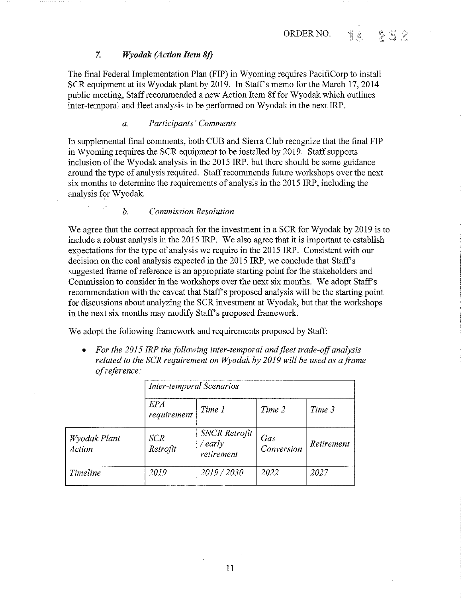#### 7. *Wyodak (Action Item Sf)*

The final Federal Implementation Plan (FIP) in Wyoming requires PacifiCorp to install SCR equipment at its Wyodak plant by 2019. In Staff's memo for the March 17, 2014 public meeting, Staff recommended a new Action Item Sf for Wyodak which outlines inter-temporal and fleet analysis to be performed on Wyodak in the next IRP.

# *a. Participants' Comments*

In supplemental final comments, both CUB and Sierra Club recognize that the final FIP in Wyoming requires the SCR equipment to be installed by 2019. Staff supports inclusion of the Wyodak analysis in the 2015 IRP, but there should be some guidance around the type of analysis required. Staff recommends future workshops over the next six months to determine the requirements of analysis in the 2015 IRP, including the analysis for Wyodak.

#### *b. Commission Resolution*

We agree that the correct approach for the investment in a SCR for Wyodak by 2019 is to include a robust analysis in the 2015 IRP. We also agree that it is important to establish expectations for the type of analysis we require in the 2015 IRP. Consistent with our decision on the coal analysis expected in the 2015 IRP, we conclude that Staff's suggested frame of reference is an appropriate starting point for the stakeholders and Commission to consider in the workshops over the next six months. We adopt Staff's recommendation with the caveat that Staff's proposed analysis will be the starting point for discussions about analyzing the SCR investment at Wyodak, but that the workshops in the next six months may modify Staff's proposed framework.

We adopt the following framework and requirements proposed by Staff:

• *For the 2015 !RP the following inter-temporal and fleet trade-off analysis related to the SCR requirement on Wyodak by 2019 will be used as a frame of reference:* 

|                        | <b>Inter-temporal Scenarios</b> |                                                 |                   |            |  |
|------------------------|---------------------------------|-------------------------------------------------|-------------------|------------|--|
|                        | <i>EPA</i><br>requirement       | Time 1                                          | Time 2            | Time 3     |  |
| Wyodak Plant<br>Action | <b>SCR</b><br>Retrofit          | <b>SNCR</b> Retrofit<br>$/$ early<br>retirement | Gas<br>Conversion | Retirement |  |
| Timeline               | 2019                            | 2019/2030                                       | 2022              | 2027       |  |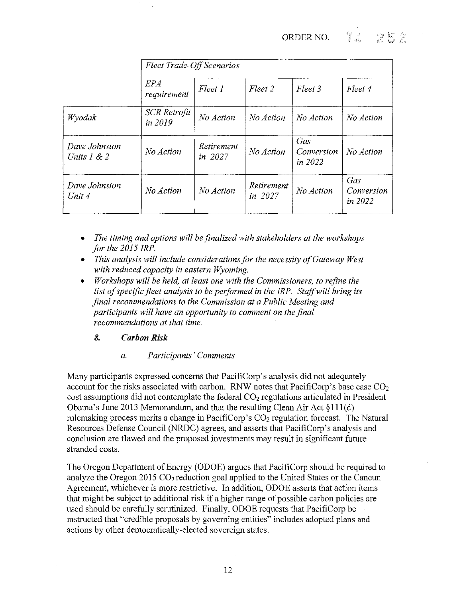ORDER NO. **1**  $252$ 

|                                | <b>Fleet Trade-Off Scenarios</b> |                         |                       |                              |                                     |
|--------------------------------|----------------------------------|-------------------------|-----------------------|------------------------------|-------------------------------------|
|                                | EPA<br>requirement               | Fleet 1                 | Fleet 2               | Fleet 3                      | Fleet 4                             |
| Wyodak                         | SCR Retrofit<br>in 2019          | No Action               | No Action             | No Action                    | No Action                           |
| Dave Johnston<br>Units $1 < 2$ | No Action                        | Retirement<br>in $2027$ | No Action             | Gas<br>Conversion<br>in 2022 | No Action                           |
| Dave Johnston<br>Unit 4        | No Action                        | No Action               | Retirement<br>in 2027 | No Action                    | Gas<br>Conversion<br><i>in 2022</i> |

- *The timing and options will be finalized with stakeholders at the workshops for the 2015 IRP.*
- *This analysis will include considerations for the necessity of Gateway West with reduced capacity in eastern Wyoming.*
- *Workshops will be held, at least one with the Commissioners, to refine the list of specific fleet analysis to be performed in the IRP. Staff will bring its final recommendations to the Commission at a Public Meeting and participants will have an opportunity to comment on the final recommendations at that time.*

# *8. Carbon Risk*

*a. Participants' Comments* 

Many participants expressed concerns that PacifiCorp's analysis did not adequately account for the risks associated with carbon. RNW notes that PacifiCorp's base case  $CO<sub>2</sub>$ cost assumptions did not contemplate the federal  $CO<sub>2</sub>$  regulations articulated in President Obama's June 2013 Memorandum, and that the resulting Clean Air Act§ 11 l(d) rulemaking process merits a change in PacifiCorp's  $CO<sub>2</sub>$  regulation forecast. The Natural Resources Defense Council (NRDC) agrees, and asserts that PacifiCorp's analysis and conclusion are flawed and the proposed investments may result in significant future stranded costs.

The Oregon Department of Energy (ODOE) argues that PacifiCorp should be required to analyze the Oregon 2015  $CO<sub>2</sub>$  reduction goal applied to the United States or the Cancun Agreement, whichever is more restrictive. In addition, ODOE asserts that action items that might be subject to additional risk if a higher range of possible carbon policies are used should be carefully scrutinized. Finally, ODOE requests that PacifiCorp be instructed that "credible proposals by governing entities" includes adopted plans and actions by other democratically-elected sovereign states.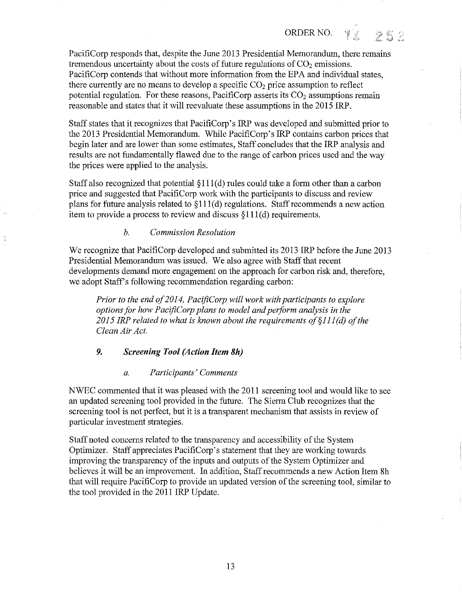ORDER NO.  $\mathcal{L}$ V

PacifiCorp responds that, despite the June 2013 Presidential Memorandum, there remains tremendous uncertainty about the costs of future regulations of  $CO<sub>2</sub>$  emissions. PacifiCorp contends that without more information from the EPA and individual states, there currently are no means to develop a specific  $CO<sub>2</sub>$  price assumption to reflect potential regulation. For these reasons, PacifiCorp asserts its  $CO<sub>2</sub>$  assumptions remain reasonable and states that it will reevaluate these assumptions in the 2015 IRP.

Staff states that it recognizes that PacifiCorp's IRP was developed and submitted prior to the 2013 Presidential Memorandum. While PacifiCorp's IRP contains carbon prices that begin later and are lower than some estimates, Staff concludes that the IRP analysis and results are not fundamentally flawed due to the range of carbon prices used and the way the prices were applied to the analysis.

Staff also recognized that potential  $\S111(d)$  rules could take a form other than a carbon price and suggested that PacifiCorp work with the participants to discuss and review plans for future analysis related to  $\S111(d)$  regulations. Staff recommends a new action item to provide a process to review and discuss  $\S111(d)$  requirements.

#### *b. Commission Resolution*

We recognize that PacifiCorp developed and submitted its 2013 IRP before the June 2013 Presidential Memorandum was issued. We also agree with Staff that recent developments demand more engagement on the approach for carbon risk and, therefore, we adopt Staff's following recommendation regarding carbon:

*Prior to the end of2014, PacifiCorp will work with participants to explore options for how PacifiCorp plans to model and perform analysis in the 2015 JRP related to what is known about the requirements of§lll (d) of the Clean Air Act.* 

# *9. Screening Tool (Action Item Sh)*

#### *a. Participants' Comments*

NWEC commented that it was pleased with the 2011 screening tool and would like to see an updated screening tool provided in the future. The Sierra Club recognizes that the screening tool is not perfect, but it is a transparent mechanism that assists in review of particular investment strategies.

Staff noted concerns related to the transparency and accessibility of the System Optimizer. Staff appreciates PacifiCorp's statement that they are working towards improving the transparency of the inputs and outputs of the System Optimizer and believes it will be an improvement. In addition, Staff recommends a new Action Item Sh that will require PacifiCorp to provide an updated version of the screening tool, similar to the tool provided in the 2011 IRP Update.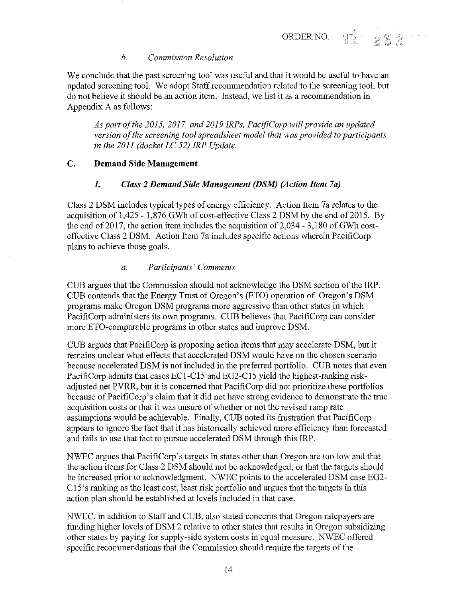$\mathscr{I}$  in

#### *b. Commission Resolution*

We conclude that the past screening tool was useful and that it would be useful to have an updated screening tool. We adopt Staff recommendation related to the screening tool, but do not believe it should be an action item. Instead, we list it as a recommendation in Appendix A as follows:

*As part of the 2015, 2017, and 2019 IRPs, PacifiCorp will provide an updated version of the screening tool spreadsheet model that was provided to participants in the 2011 (docket LC 52) !RP Update.* 

# C. Demand Side Management

#### I. *Class 2 Demand Side Management (DSM) (Action Item 7a)*

Class 2 DSM includes typical types of energy efficiency. Action Item 7a relates to the acquisition of 1,425 - 1,876 GWh of cost-effective Class 2 DSM by the end of 2015. By the end of 2017, the action item includes the acquisition of  $2,034 - 3,180$  of GWh costeffective Class 2 DSM. Action Item 7a includes specific actions wherein PacifiCorp plans to achieve those goals.

#### *a. Participants' Comments*

CUB argues that the Commission should not acknowledge the DSM section of the IRP. CUB contends that the Energy Trust of Oregon's (ETO) operation of Oregon's DSM programs make Oregon DSM programs more aggressive than other states in which PacifiCorp administers its own programs. CUB believes that PacifiCorp can consider more ETO-comparable programs in other states and improve DSM.

CUB argues that PacifiCorp is proposing action items that may accelerate DSM, but it remains unclear what effects that accelerated DSM would have on the chosen scenario because accelerated DSM is not included in the preferred portfolio. CUB notes that even PacifiCorp admits that cases EC1-C15 and EG2-Cl5 yield the highest-ranking riskadjusted net PVRR, but it is concerned that PacifiCorp did not prioritize these portfolios because of PacifiCorp's claim that it did not have strong evidence to demonstrate the true acquisition costs or that it was unsure of whether or not the revised ramp rate assumptions would be achievable. Finally, CUB noted its frustration that PacifiCorp appears to ignore the fact that it has historically achieved more efficiency than forecasted and fails to use that fact to pursue accelerated DSM through this IRP.

NWEC argues that PacifiCorp's targets in states other than Oregon are too low and that the action items for Class 2 DSM should not be acknowledged, or that the targets should be increased prior to acknowledgment. NWEC points to the accelerated DSM case EG2- C15's ranking as the least cost, least risk portfolio and argues that the targets in this action plan should be established at levels included in that case.

NWEC, in addition to Staff and CUB, also stated concerns that Oregon ratepayers are funding higher levels of DSM 2 relative to other states that results in Oregon subsidizing other states by paying for supply-side system costs in equal measure. NWEC offered specific recommendations that the Commission should require the targets of the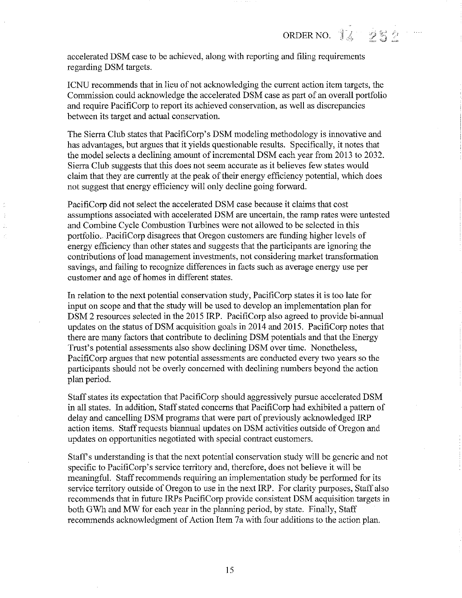ORDER NO.  $14.252$ 

accelerated DSM case to be achieved, along with reporting and filing requirements regarding DSM targets.

ICNU recommends that in lieu of not acknowledging the current action item targets, the Commission could acknowledge the accelerated DSM case as part of an overall portfolio and require PacifiCorp to report its achieved conservation, as well as discrepancies between its target and actual conservation.

The Sierra Club states that PacifiCorp's DSM modeling methodology is innovative and has advantages, but argues that it yields questionable results. Specifically, it notes that the model selects a declining amount of incremental DSM each year from 2013 to 2032. Sierra Club suggests that this does not seem accurate as it believes few states would claim that they are currently at the peak of their energy efficiency potential, which does not suggest that energy efficiency will only decline going forward.

PacifiCorp did not select the accelerated DSM case because it claims that cost assumptions associated with accelerated DSM are uncertain, the ramp rates were untested and Combine Cycle Combustion Turbines were not allowed to be selected in this portfolio. PacifiCorp disagrees that Oregon customers are funding higher levels of energy efficiency than other states and suggests that the participants are ignoring the contributions of load management investments, not considering market transformation savings, and failing to recognize differences in facts such as average energy use per customer and age of homes in different states.

In relation to the next potential conservation study, PacifiCorp states it is too late for input on scope and that the study will be used to develop an implementation plan for DSM 2 resources selected in the 2015 IRP. PacifiCorp also agreed to provide bi-annual updates on the status of DSM acquisition goals in 2014 and 2015. PacifiCorp notes that there are many factors that contribute to declining DSM potentials and that the Energy Trust's potential assessments also show declining DSM over time. Nonetheless, PacifiCorp argues that new potential assessments are conducted every two years so the participants should not be overly concerned with declining numbers beyond the action plan period.

Staff states its expectation that PacifiCorp should aggressively pursue accelerated DSM in all states. In addition, Staff stated concerns that PacifiCorp had exhibited a pattern of delay and cancelling DSM programs that were part of previously acknowledged IRP action items. Staff requests biannual updates on DSM activities outside of Oregon and updates on opportunities negotiated with special contract customers.

Staff's understanding is that the next potential conservation study will be generic and not specific to PacifiCorp's service territory and, therefore, does not believe it will be meaningful. Staff recommends requiring an implementation study be performed for its service territory outside of Oregon to use in the next IRP. For clarity purposes, Staff also recommends that in future IRPs PacifiCorp provide consistent DSM acquisition targets in both GWh and MW for each year in the planning period, by state. Finally, Staff recommends acknowledgment of Action Item 7a with four additions to the action plan.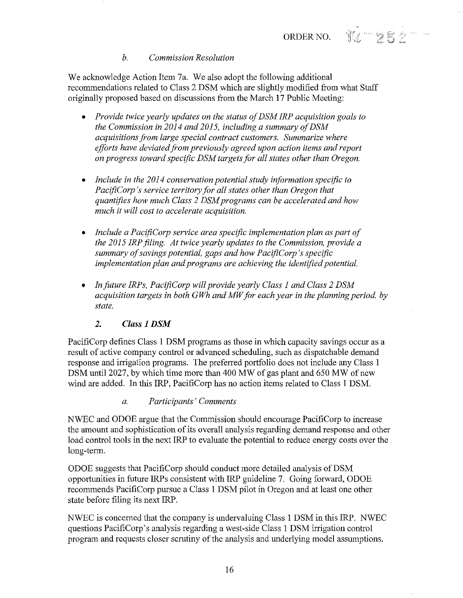94 w 252

# *b. Commission Resolution*

We acknowledge Action Item 7a. We also adopt the following additional recommendations related to Class 2 DSM which are slightly modified from what Staff originally proposed based on discussions from the March 17 Public Meeting:

- *Provide twice yearly updates on the status of DSM !RP acquisition goals to the Commission in 2014 and 2015, including a summary of DSM acquisitions from large special contract customers. Summarize where efforts have deviated from previously agreed upon action items and report on progress toward specific DSM targets for all states other than Oregon.*
- *Include in the 2014 conservation potential study information specific to PacifiCorp 's service territory for all states other than Oregon that quantifies how much Class 2 DSM programs can be accelerated and how much it will cost to accelerate acquisition.*
- *Include a PacifiCorp service area specific implementation plan as part of the 2015 !RP filing. At twice yearly updates to the Commission, provide a summary of savings potential, gaps and how PacifiCorp 's specific implementation plan and programs are achieving the identified potential.*
- *In future IRPs, PacifiCorp will provide yearly Class 1 and Class 2 DSM acquisition targets in both GWh and MW for each year in the planning period, by state.*

# *2. Class 1 DSM*

PacifiCorp defines Class 1 DSM programs as those in which capacity savings occur as a result of active company control or advanced scheduling, such as dispatchable demand response and irrigation programs. The preferred portfolio does not include any Class 1 DSM until 2027, by which time more than 400 MW of gas plant and 650 MW of new wind are added. In this IRP, PacifiCorp has no action items related to Class 1 DSM.

### *a. Participants' Comments*

NWEC and ODOE argue that the Commission should encourage PacifiCorp to increase the amount and sophistication of its overall analysis regarding demand response and other load control tools in the next IRP to evaluate the potential to reduce energy costs over the long-term.

ODOE suggests that PacifiCorp should conduct more detailed analysis of DSM opportunities in future IRPs consistent with IRP guideline 7. Going forward, ODOE recommends PacifiCorp pursue a Class 1 DSM pilot in Oregon and at least one other state before filing its next IRP.

NWEC is concerned that the company is undervaluing Class 1 DSM in this IRP. NWEC questions PacifiCorp's analysis regarding a west-side Class 1 DSM irrigation control program and requests closer scrutiny of the analysis and underlying model assumptions.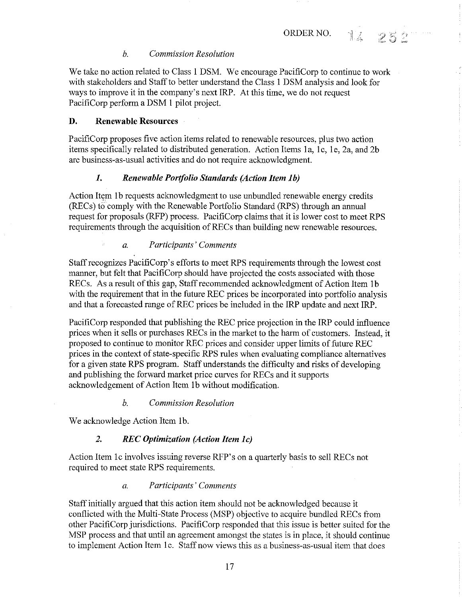.1

クあう

### *b. Commission Resolution*

We take no action related to Class 1 DSM. We encourage PacifiCorp to continue to work with stakeholders and Staff to better understand the Class 1 DSM analysis and look for ways to improve it in the company's next IRP. At this time, we do not request PacifiCorp perform a DSM 1 pilot project.

# D. Renewable Resources

t<br>Ha

PacifiCorp proposes five action items related to renewable resources, plus two action items specifically related to distributed generation. Action Items 1a, 1c, 1e, 2a, and 2b are business-as-usual activities and do not require acknowledgment.

#### *1. Renewable Porifolio Standards (Action Item lb)*

Action Item 1b requests acknowledgment to use unbundled renewable energy credits (RECs) to comply with the Renewable Portfolio Standard (RPS) through an annual request for proposals (RFP) process. PacifiCorp claims that it is lower cost to meet RPS requirements through the acquisition of RECs than building new renewable resources.

#### *a. Participants' Comments*

Staffrecognizes PacifiCorp's efforts to meet RPS requirements through the lowest cost manner, but felt that PacifiCorp should have projected the costs associated with those RECs. As a result of this gap, Staff recommended acknowledgment of Action Item 1b with the requirement that in the future REC prices be incorporated into portfolio analysis and that a forecasted range of REC prices be included in the IRP update and next IRP.

PacifiCorp responded that publishing the REC price projection in the IRP could influence prices when it sells or purchases RECs in the market to the harm of customers. Instead, it proposed to continue to monitor REC prices and consider upper limits of future REC prices in the context of state-specific RPS rules when evaluating compliance alternatives for a given state RPS program. Staff understands the difficulty and risks of developing and publishing the forward market price curves for RECs and it supports acknowledgement of Action Item 1b without modification.

#### *b. Commission Resolution*

We acknowledge Action Item lb.

# 2. REC Optimization (Action Item 1c)

Action Item le involves issuing reverse RFP's on a quarterly basis to sell RECs not required to meet state RPS requirements.

# *a. Participants' Comments*

Staff initially argued that this action item should not be acknowledged because it conflicted with the Multi-State Process (MSP) objective to acquire bundled RECs from other PacifiCorp jurisdictions. PacifiCorp responded that this issue is better suited for the MSP process and that until an agreement amongst the states is in place, it should continue to implement Action Item 1c. Staff now views this as a business-as-usual item that does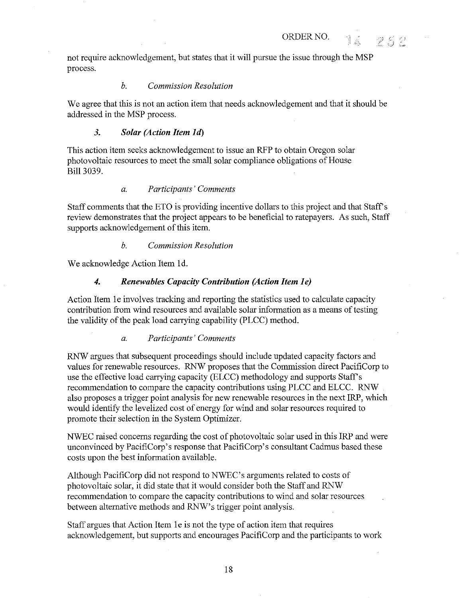not require acknowledgement, but states that it will pursue the issue through the MSP process.

ORDER NO.  $\blacksquare$ 

 $\frac{2^{\alpha}-1}{\beta}$ 

### *b. Commission Resolution*

We agree that this is not an action item that needs acknowledgement and that it should be addressed in the MSP process.

### *3. Solar (Action Item Id)*

This action item seeks acknowledgement to issue an RFP to obtain Oregon solar photovoltaic resources to meet the small solar compliance obligations of House Bill 3039.

# *a. Participants' Comments*

Staff comments that the ETO is providing incentive dollars to this project and that Staffs review demonstrates that the project appears to be beneficial to ratepayers. As such, Staff supports acknowledgement of this item.

#### *b. Commission Resolution*

We acknowledge Action Item Id.

# *4. Renewables Capacity Contribution (Action Item le)*

Action Item le involves tracking and reporting the statistics used to calculate capacity contribution from wind resources and available solar information as a means of testing the validity of the peak load carrying capability (PLCC) method.

#### *a. Participants' Comments*

RNW argues that subsequent proceedings should include updated capacity factors and values for renewable resources. RNW proposes that the Commission direct PacifiCorp to use the effective load carrying capacity (ELCC) methodology and supports Staff's recommendation to compare the capacity contributions using PLCC and ELCC. RNW also proposes a trigger point analysis for new renewable resources in the next IRP, which would identify the levelized cost of energy for wind and solar resources required to promote their selection in the System Optimizer.

NWEC raised concerns regarding the cost of photovoltaic solar used in this IRP and were unconvinced by PacifiCorp's response that PacifiCorp's consultant Cadmus based these costs upon the best information available.

Although PacifiCorp did not respond to NWEC's arguments related to costs of photovoltaic solar, it did state that it would consider both the Staff and RNW recommendation to compare the capacity contributions to wind and solar resources between alternative methods and RNW's trigger point analysis.

Staff argues that Action Item 1e is not the type of action item that requires acknowledgement, but supports and encourages PacifiCorp and the participants to work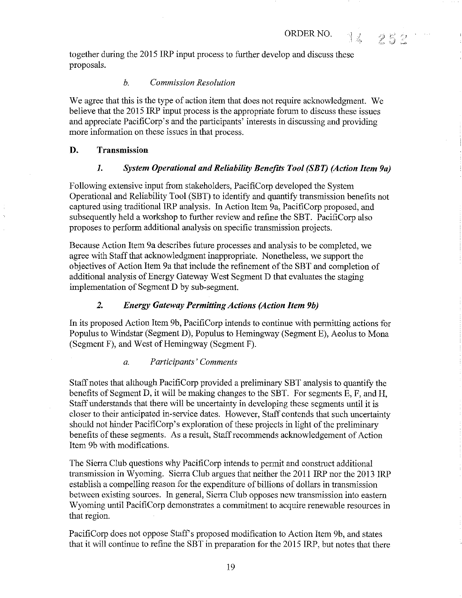14 252

together during the 2015 IRP input process to further develop and discuss these proposals.

# *b. Commission Resolution*

We agree that this is the type of action item that does not require acknowledgment. We believe that the 2015 IRP input process is the appropriate forum to discuss these issues and appreciate PacifiCorp's and the participants' interests in discussing and providing more information on these issues in that process.

# D. Transmission

# *1. System Operational and Reliability Benefits Tool (SBT) (Action Item 9a)*

Following extensive input from stakeholders, PacifiCorp developed the System Operational and Reliability Tool (SBT) to identify and quantify transmission benefits not captured using traditional IRP analysis. In Action Item 9a, PacifiCorp proposed, and subsequently held a workshop to further review and refine the SBT. PacifiCorp also proposes to perform additional analysis on specific transmission projects.

Because Action Item 9a describes future processes and analysis to be completed, we agree with Staff that acknowledgment inappropriate. Nonetheless, we support the objectives of Action Item 9a that include the refinement of the SBT and completion of additional analysis of Energy Gateway West Segment D that evaluates the staging implementation of Segment D by sub-segment.

# *2. Energy Gateway Permitting Actions (Action Item 9b)*

In its proposed Action Item 9b, PacifiCorp intends to continue with permitting actions for Populus to Windstar (Segment D), Populus to Hemingway (Segment E), Aeolus to Mona (Segment F), and West of Hemingway (Segment F).

# *a. Participants' Comments*

Staff notes that although PacifiCorp provided a preliminary SBT analysis to quantify the benefits of Segment D, it will be making changes to the SBT. For segments E, F, and H, Staff understands that there will be uncertainty in developing these segments until it is closer to their anticipated in-service dates. However, Staff contends that such uncertainty should not hinder PacifiCorp's exploration of these projects in light of the preliminary benefits of these segments. As a result, Staff recommends acknowledgement of Action Item 9b with modifications.

The Sierra Club questions why PacifiCorp intends to permit and construct additional transmission in Wyoming. Sierra Club argnes that neither the 2011 IRP nor the 2013 IRP establish a compelling reason for the expenditure of billions of dollars in transmission between existing sources. In general, Sierra Club opposes new transmission into eastern Wyoming until PacifiCorp demonstrates a commitment to acquire renewable resources in that region.

PacifiCorp does not oppose Staff's proposed modification to Action Item 9b, and states that it will continue to refine the SBT in preparation for the 2015 IRP, but notes that there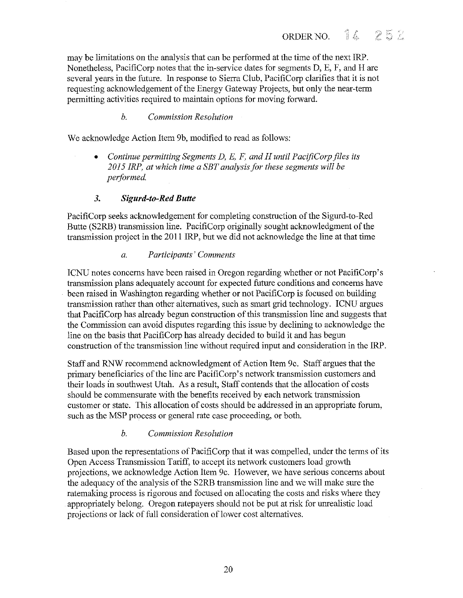may be limitations on the analysis that can be performed at the time of the next IRP. Nonetheless, PacifiCorp notes that the in-service dates for segments D, E, F, and Hare several years in the future. In response to Sierra Club, PacifiCorp clarifies that it is not requesting acknowledgement of the Energy Gateway Projects, but only the near-term permitting activities required to maintain options for moving forward.

# *b. Commission Resolution*

We acknowledge Action Item 9b, modified to read as follows:

• *Continue permitting Segments D, E, F, and H until PacifiCorp files its 2015 !RP, at which time a SET analysis for these segments will be performed.* 

# *3. Sigurd-to-Red Butte*

PacifiCorp seeks acknowledgement for completing construction of the Sigurd-to-Red Butte (S2RB) transmission line. PacifiCorp originally sought acknowledgment of the transmission project in the 2011 IRP, but we did not acknowledge the line at that time

# *a. Participants' Comments*

ICNU notes concerns have been raised in Oregon regarding whether or not PacifiCorp's transmission plans adequately account for expected future conditions and concerns have been raised in Washington regarding whether or not PacifiCorp is focused on building transmission rather than other alternatives, such as smart grid technology. ICNU argues that PacifiCorp has already begun construction of this transmission line and suggests that the Commission can avoid disputes regarding this issue by declining to acknowledge the line on the basis that PacifiCorp has already decided to build it and has begun construction of the transmission line without required input and consideration in the IRP.

Staff and RNW recommend acknowledgment of Action Item 9c. Staff argues that the primary beneficiaries of the line are PacifiCorp's network transmission customers and their loads in southwest Utah. As a result, Staff contends that the allocation of costs should be commensurate with the benefits received by each network transmission customer or state. This allocation of costs should be addressed in an appropriate forum, such as the MSP process or general rate case proceeding, or both.

# *b. Commission Resolution*

Based upon the representations of PacifiCorp that it was compelled, under the terms of its Open Access Transmission Tariff, to accept its network customers load growth projections, we acknowledge Action Item 9c. However, we have serious concerns about the adequacy of the analysis of the S2RB transmission line and we will make sure the ratemaking process is rigorous and focused on allocating the costs and risks where they appropriately belong. Oregon ratepayers should not be put at risk for unrealistic load projections or lack of full consideration of lower cost alternatives.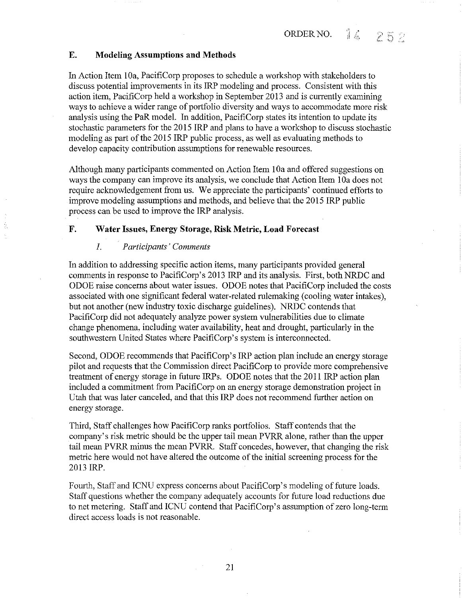# **E. Modeling Assumptions and Methods**

In Action Item 10a, PacifiCorp proposes to schedule a workshop with stakeholders to discuss potential improvements in its IRP modeling and process. Consistent with this action item, PacifiCorp held a workshop in September 2013 and is currently examining ways to achieve a wider range of portfolio diversity and ways to accommodate more risk analysis using the PaR model. In addition, PacifiCorp states its intention to update its stochastic parameters for the 2015 IRP and plans to have a workshop to discuss stochastic modeling as part of the 2015 IRP public process, as well as evaluating methods to develop capacity contribution assumptions for renewable resources.

Although many participants commented on Action Item 1 Oa and offered suggestions on ways the company can improve its analysis, we conclude that Action Item 10a does not require acknowledgement from us. We appreciate the participants' continued efforts to improve modeling assumptions and methods, and believe that the 2015 IRP public process can be used to improve the IRP analysis.

### **F. Water Issues, Energy Storage, Risk Metric, Load Forecast**

# *1. Participants' Comments*

In addition to addressing specific action items, many participants provided general comments in response to PacifiCorp's 2013 IRP and its analysis. First, both NRDC and ODOE raise concerns about water issues. ODOE notes that PacifiCorp included the costs associated with one significant federal water-related rulemaking (cooling water intakes), but not another (new industry toxic discharge guidelines). NRDC contends that PacifiCorp did not adequately analyze power system vulnerabilities due to climate change phenomena, including water availability, heat and drought, particularly in the southwestern United States where PacifiCorp's system is interconnected.

Second, ODOE recommends that PacifiCorp's IRP action plan include an energy storage pilot and requests that the Commission direct PacifiCorp to provide more comprehensive treatment of energy storage in future IRPs. ODOE notes that the 2011 IRP action plan included a commitment from PacifiCorp on an energy storage demonstration project in Utah that was later canceled, and that this IRP does not recommend further action on energy storage.

Third, Staff challenges how PacifiCorp ranks portfolios. Staff contends that the company's risk metric should be the upper tail mean PVRR alone, rather than the upper tail mean PVRR minus the mean PVRR. Staff concedes, however, that changing the risk metric here would not have altered the outcome of the initial screening process for the 2013 IRP.

Fourth, Staff and ICNU express concerns about PacifiCorp's modeling of future loads. Staff questions whether the company adequately accounts for future load reductions due to net metering. Staff and ICNU contend that PacifiCorp's assumption of zero long-term direct access loads is not reasonable.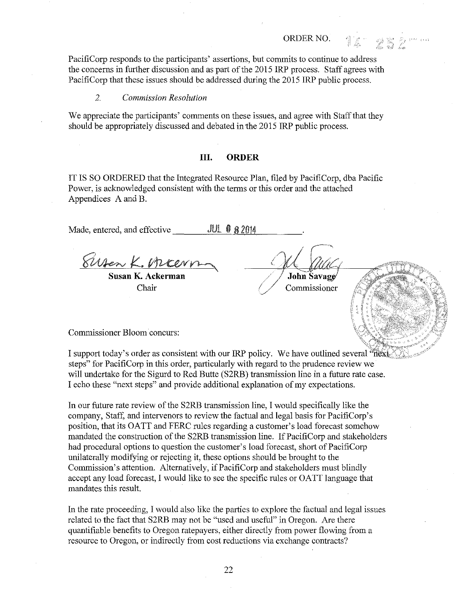ORDER NO. 14 252"

PacifiCorp responds to the participants' assertions, but commits to continue to address the concerns in further discussion and as part of the 2015 IRP process. Staff agrees with PacifiCorp that these issues should be addressed during the 2015 IRP public process.

#### *2. Commission Resolution*

We appreciate the participants' comments on these issues, and agree with Staff that they should be appropriately discussed and debated in the 2015 IRP public process.

#### **Ill. ORDER**

IT IS SO ORDERED that the Integrated Resource Plan, filed by PacifiCorp, dba Pacific Power, is acknowledged consistent with the terms or this order and the attached Appendices A and B.

Made, entered, and effective **JUL @ 8 2014** ~~~~~~~~~~~~~

**Susan K. Ackerman** Chair

John Savage

Commissioner

Commissioner Bloom concurs:

I support today's order as consistent with our IRP policy. We have outlined several "next. steps" for PacifiCorp in this order, particularly with regard to the prudence review we will undertake for the Sigurd to Red Butte (S2RB) transmission line in a future rate case. I echo these "next steps" and provide additional explanation of my expectations.

In our future rate review of the S2RB transmission line, I wonld specifically like the company, Staff, and intervenors to review the factual and legal basis for PacifiCorp's position, that its OATT and FERC rules regarding a customer's load forecast somehow mandated the construction of the S2RB transmission line. If PacifiCorp and stakeholders had procedural options to question the customer's load forecast, short of PacifiCorp unilaterally modifying or rejecting it, these options should be brought to the Commission's attention. Alternatively, if PacifiCorp and stakeholders must blindly accept any load forecast, I would like to see the specific rules or OATT language that mandates this result.

In the rate proceeding, I would also like the parties to explore the factual and legal issues related to the fact that S2RB may not be "used and useful" in Oregon. Are there quantifiable benefits to Oregon ratepayers, either directly from power flowing from a resource to Oregon, or indirectly from cost reductions via exchange contracts?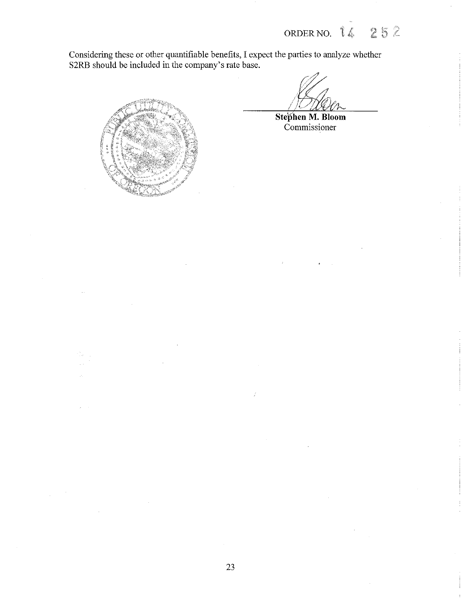ORDER NO. 14 252

Considering these or other quantifiable benefits, I expect the parties to analyze whether S2RB should be included in the company's rate base.



**Ste}i'hen M. Bloom**  Commissioner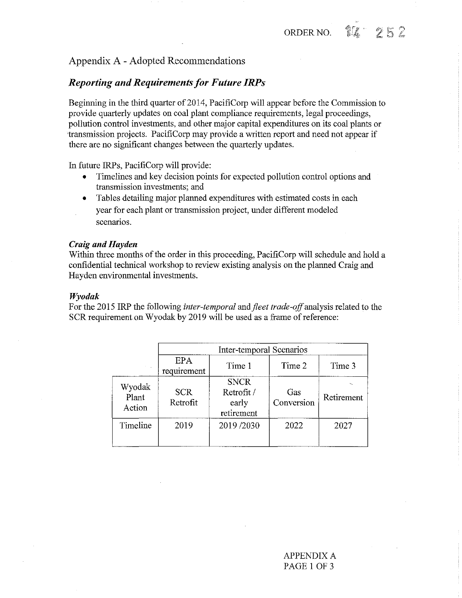# Appendix A - Adopted Recommendations

# *Reporting and Requirements for Future IRPs*

Beginning in the third quarter of 2014, PacifiCorp will appear before the Commission to provide quarterly updates on coal plant compliance requirements, legal proceedings, pollution control investments, and other major capital expenditures on its coal plants or transmission projects. PacifiCorp may provide a written report and need not appear if there are no significant changes between the quarterly updates.

In future IRPs, PacifiCorp will provide:

- Timelines and key decision points for expected pollution control options and transmission investments; and
- Tables detailing major planned expenditures with estimated costs in each year for each plant or transmission project, under different modeled scenarios.

#### *Craig and Hayden*

Within three months of the order in this proceeding, PacifiCorp will schedule and hold a confidential technical workshop to review existing analysis on the planned Craig and Hayden environmental investments.

#### *Wyodak*

For the 2015 IRP the following *inter-temporal* and *fleet trade-off* analysis related to the SCR requirement on Wyodak by 2019 will be used as a frame of reference:

|                           | Inter-temporal Scenarios |                                                  |                   |            |  |
|---------------------------|--------------------------|--------------------------------------------------|-------------------|------------|--|
|                           | EPA<br>requirement       | Time 1                                           | Time 2            | Time 3     |  |
| Wyodak<br>Plant<br>Action | <b>SCR</b><br>Retrofit   | <b>SNCR</b><br>Retrofit /<br>early<br>retirement | Gas<br>Conversion | Retirement |  |
| Timeline                  | 2019                     | 2019/2030                                        | 2022              | 2027       |  |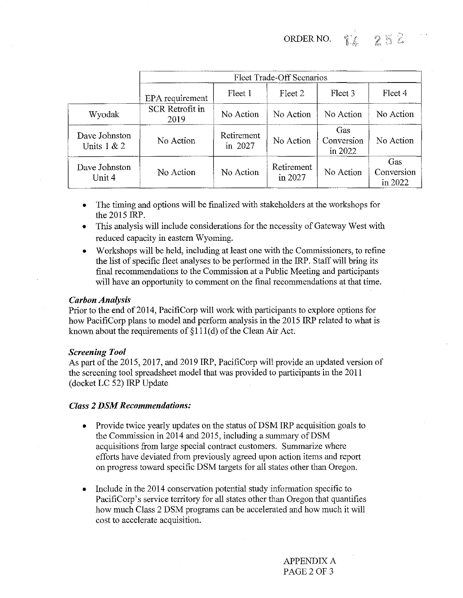96 252 ORDER NO.

|                                | Fleet Trade-Off Scenarios      |                       |                       |                              |                              |
|--------------------------------|--------------------------------|-----------------------|-----------------------|------------------------------|------------------------------|
|                                | EPA requirement                | Fleet 1               | Fleet 2               | Fleet 3                      | Fleet 4                      |
| Wyodak                         | <b>SCR Retrofit in</b><br>2019 | No Action             | No Action             | No Action                    | No Action                    |
| Dave Johnston<br>Units $1 & 2$ | No Action                      | Retirement<br>in 2027 | No Action             | Gas<br>Conversion<br>in 2022 | No Action                    |
| Dave Johnston<br>Unit 4        | No Action                      | No Action             | Retirement<br>in 2027 | No Action                    | Gas<br>Conversion<br>in 2022 |

- The timing and options will be finalized with stakeholders at the workshops for the 2015 IRP.
- This analysis will include considerations for the necessity of Gateway West with reduced capacity in eastern Wyoming.
- Workshops will be held, including at least one with the Commissioners, to refine the list of specific fleet analyses to be performed in the IRP. Staff will bring its final recommendations to the Commission at a Public Meeting and participants will have an opportunity to comment on the final recommendations at that time.

#### *Carbon Analysis*

Prior to the end of 2014, PacifiCorp will work with participants to explore options for how PacifiCorp plans to model and perform analysis in the 2015 IRP related to what is known about the requirements of  $\S111(d)$  of the Clean Air Act.

#### *Screening Tool*

As part of the 2015, 2017, and 2019 IRP, PacifiCorp will provide an updated version of the screening tool spreadsheet model that was provided to participants in the 2011 (docket LC 52) IRP Update

# *Class 2 DSM Recommendations:*

- Provide twice yearly updates on the status of DSM IRP acquisition goals to the Commission in 2014 and 2015, including a summary of DSM acquisitions from large special contract customers. Summarize where efforts have deviated from previously agreed upon action items and report on progress toward specific DSM targets for all states other than Oregon.
- Include in the 2014 conservation potential study information specific to PacifiCorp's service territory for all states other than Oregon that quantifies how much Class 2 DSM programs can be accelerated and how much it will cost to accelerate acquisition.

APPENDIX A PAGE20F3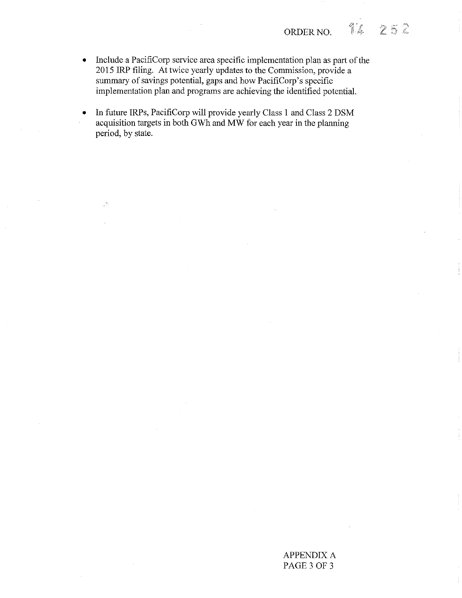$252$ 

- Include a PacifiCorp service area specific implementation plan as part of the 2015 IRP filing. At twice yearly updates to the Commission, provide a summary of savings potential, gaps and how PacifiCorp's specific implementation plan and programs are achieving the identified potential.
- In future IRPs, PacifiCorp will provide yearly Class 1 and Class 2 DSM acquisition targets in both GWh and MW for each year in the planning period, by state.

Ú.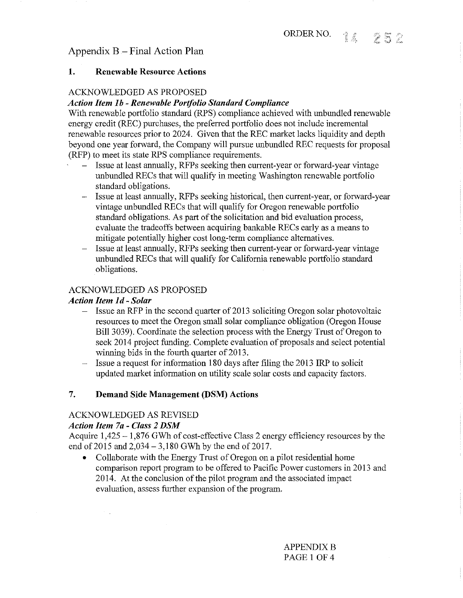# Appendix B - Final Action Plan

# 1. Renewable Resource Actions

# ACKNOWLEDGED AS PROPOSED

# *Action Item I b* - *Renewable Porifolio Standard Compliance*

With renewable portfolio standard (RPS) compliance achieved with unbundled renewable energy credit (REC) purchases, the preferred portfolio does not include incremental renewable resources prior to 2024. Given that the REC market lacks liquidity and depth beyond one year forward, the Company will pursue unbundled REC requests for proposal (RFP) to meet its state RPS compliance requirements.

- Issue at least annually, RFPs seeking then current-year or forward-year vintage unbundled RECs that will qualify in meeting Washington renewable portfolio standard obligations.
- Issue at least annually, RFPs seeking historical, then current-year, or forward-year vintage unbundled RECs that will qualify for Oregon renewable portfolio standard obligations. As part of the solicitation and bid evaluation process, evaluate the tradeoffs between acquiring bankable RECs early as a means to mitigate potentially higher cost long-term compliance alternatives.
- Issue at least annually, RFPs seeking then current-year or forward-year vintage unbundled RECs that will qualify for California renewable portfolio standard obligations.

# ACKNOWLEDGED AS PROPOSED

# *Action Item Id- Solar*

- $-$  Issue an RFP in the second quarter of 2013 soliciting Oregon solar photovoltaic resources to meet the Oregon small solar compliance obligation (Oregon House Bill 3039). Coordinate the selection process with the Energy Trust of Oregon to seek 2014 project funding. Complete evaluation of proposals and select potential winning bids in the fourth quarter of 2013.
- Issue a request for information 180 days after filing the 2013 IRP to solicit  $\overline{\phantom{a}}$ updated market information on utility scale solar costs and capacity factors.

# 7. Demand Side Management (DSM) Actions

# ACKNOWLEDGED AS REVISED

# *Action Item 7a* - *Class 2 DSM*

 $\mathcal{F}(\mathcal{A})$ 

Acquire 1,425- 1,876 GWh of cost-effective Class 2 energy efficiency resources by the end of  $2015$  and  $2,034 - 3,180$  GWh by the end of  $2017$ .

• Collaborate with the Energy Trust of Oregon on a pilot residential home comparison report program to be offered to Pacific Power customers in 2013 and 2014. At the conclusion of the pilot program and the associated impact evaluation, assess further expansion of the program.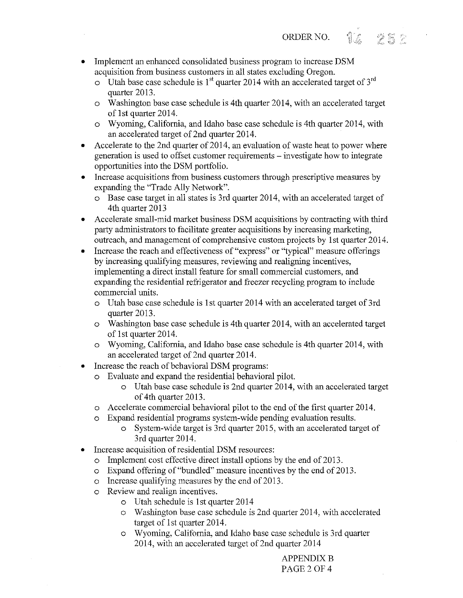- Implement an enhanced consolidated business program to increase DSM acquisition from business customers in all states excluding Oregon.
	- o Utah base case schedule is  $1<sup>st</sup>$  quarter 2014 with an accelerated target of  $3<sup>rd</sup>$ quarter 2013.
	- o Washington base case schedule is 4th quarter 2014, with an accelerated target of 1st quarter 2014.
	- o Wyoming, California, and Idaho base case schedule is 4th quarter 2014, with an accelerated target of 2nd quarter 2014.
- Accelerate to the 2nd quarter of 2014, an evaluation of waste heat to power where generation is used to offset customer requirements - investigate how to integrate opportunities into the DSM portfolio.
- Increase acquisitions from business customers through prescriptive measures by expanding the "Trade Ally Network".
	- o Base case target in all states is 3rd quarter 2014, with an accelerated target of 4th quarter 2013
- Accelerate small-mid market business DSM acquisitions by contracting with third party administrators to facilitate greater acquisitions by increasing marketing, outreach, and management of comprehensive custom projects by 1st quarter 2014.
- Increase the reach and effectiveness of "express" or "typical" measure offerings by increasing qualifying measures, reviewing and realigning incentives, implementing a direct install feature for small commercial customers, and expanding the residential refrigerator and freezer recycling program to include commercial units.
	- o Utah base case schedule is 1st quarter 2014 with an accelerated target of 3rd quarter 2013.
	- o Washington base case schedule is 4th quarter 2014, with an accelerated target of 1st quarter 2014.
	- o Wyoming, California, and Idaho base case schedule is 4th quarter 2014, with an accelerated target of 2nd quarter 2014.
- Increase the reach of behavioral DSM programs:
	- o Evaluate and expand the residential behavioral pilot.
		- o Utah base case schedule is 2nd quarter 2014, with an accelerated target of 4th quarter 2013.
	- o Accelerate commercial behavioral pilot to the end of the first quarter 2014.
	- o Expand residential programs system-wide pending evaluation results.
		- o System-wide target is 3rd quarter 2015, with an accelerated target of 3rd quarter 2014.
- Increase acquisition of residential DSM resources:
	- o Implement cost effective direct install options by the end of 2013.
	- o Expand offering of"bundled" measure incentives by the end of2013.
	- o Increase qualifying measures by the end of 2013.
	- o Review and realign incentives.
		- o Utah schedule is 1st quarter 2014
		- o Washington base case schedule is 2nd quarter 2014, with accelerated target of 1st quarter 2014.
		- o Wyoming, California, and Idaho base case schedule is 3rd quarter 2014, with an accelerated target of 2nd quarter 2014

**APPENDIX B** PAGE2 OF 4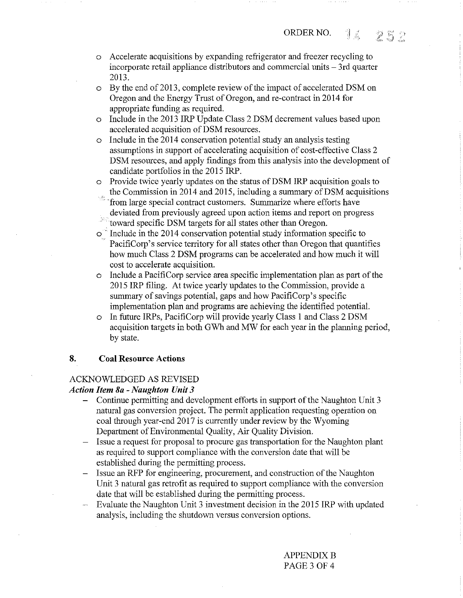- o Accelerate acquisitions by expanding refrigerator and freezer recycling to incorporate retail appliance distributors and commercial units - 3rd quarter 2013.
- o By the end of2013, complete review of the impact of accelerated DSM on Oregon and the Energy Trust of Oregon, and re-contract in 2014 for appropriate funding as required.
- o Include in the 2013 IRP Update Class 2 DSM decrement values based upon accelerated acquisition of DSM resources.
- o Include in the 2014 conservation potential study an analysis testing assumptions in support of accelerating acquisition of cost-effective Class 2 DSM resources, and apply findings from this analysis into the development of candidate portfolios in the 2015 IRP.
- o Provide twice yearly updates on the status of DSM IRP acquisition goals to the Commission in 2014 and 2015, including a summary of DSM acquisitions
- from large special contract customers. Summarize where efforts have deviated from previously agreed upon action items and report on progress
- toward specific DSM targets for all states other than Oregon.
- $\circ$ <sup> $\circ$ </sup> Include in the 2014 conservation potential study information specific to PacifiCorp's service territory for all states other than Oregon that quantifies how much Class 2 DSM programs can be accelerated and how much it will cost to accelerate acquisition.
- o Include a PacifiCorp service area specific implementation plan as part of the 2015 IRP filing. At twice yearly updates to the Commission, provide a summary of savings potential, gaps and how PacifiCorp's specific implementation plan and programs are achieving the identified potential.
- o In future IRPs, PacifiCorp will provide yearly Class 1 and Class 2 DSM acquisition targets in both GWh and MW for each year in the planning period, by state.

# **8. Coal Resource Actions**

# ACKNOWLEDGED AS REVISED

# *Action Item Sa* **-** *Naughton Unit 3*

- Continue permitting and development efforts in support of the Naughton Unit 3 natural gas conversion project. The permit application requesting operation on coal through year-end 2017 is currently under review by the Wyoming Department of Environmental Quality, Air Quality Division.
- Issue a request for proposal to procure gas transportation for the Naughton plant as required to support compliance with the conversion date that will be established during the permitting process.
- Issue an RFP for engineering, procurement, and construction of the Naughton Unit 3 natural gas retrofit as required to support compliance with the conversion date that will be established during the permitting process.
- Evaluate the Naughton Unit 3 investment decision in the 2015 IRP with updated analysis, including the shutdown versus conversion options.

**APPENDIX B** PAGE3 OF 4